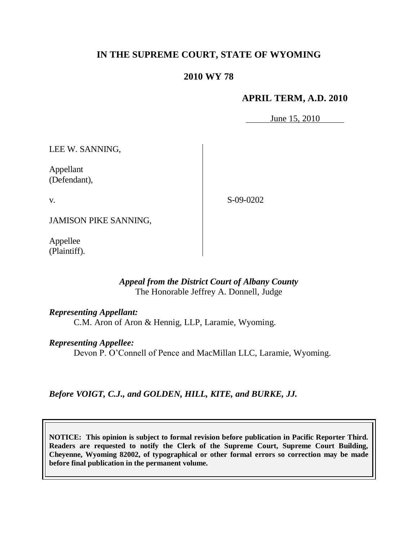# **IN THE SUPREME COURT, STATE OF WYOMING**

# **2010 WY 78**

### **APRIL TERM, A.D. 2010**

June 15, 2010

LEE W. SANNING,

Appellant (Defendant),

v.

S-09-0202

JAMISON PIKE SANNING,

Appellee (Plaintiff).

### *Appeal from the District Court of Albany County* The Honorable Jeffrey A. Donnell, Judge

### *Representing Appellant:*

C.M. Aron of Aron & Hennig, LLP, Laramie, Wyoming.

### *Representing Appellee:*

Devon P. O'Connell of Pence and MacMillan LLC, Laramie, Wyoming.

*Before VOIGT, C.J., and GOLDEN, HILL, KITE, and BURKE, JJ.*

**NOTICE: This opinion is subject to formal revision before publication in Pacific Reporter Third. Readers are requested to notify the Clerk of the Supreme Court, Supreme Court Building, Cheyenne, Wyoming 82002, of typographical or other formal errors so correction may be made before final publication in the permanent volume.**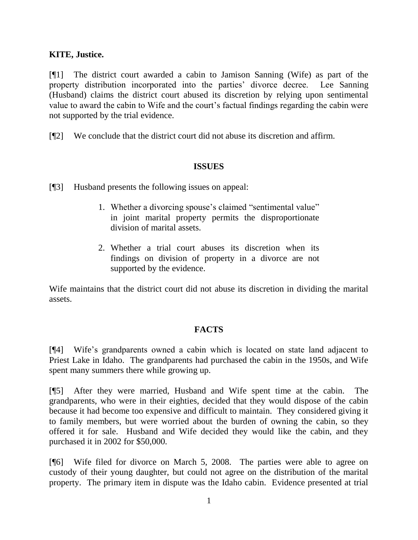### **KITE, Justice.**

[¶1] The district court awarded a cabin to Jamison Sanning (Wife) as part of the property distribution incorporated into the parties' divorce decree. Lee Sanning (Husband) claims the district court abused its discretion by relying upon sentimental value to award the cabin to Wife and the court's factual findings regarding the cabin were not supported by the trial evidence.

[¶2] We conclude that the district court did not abuse its discretion and affirm.

# **ISSUES**

[¶3] Husband presents the following issues on appeal:

- 1. Whether a divorcing spouse's claimed "sentimental value" in joint marital property permits the disproportionate division of marital assets.
- 2. Whether a trial court abuses its discretion when its findings on division of property in a divorce are not supported by the evidence.

Wife maintains that the district court did not abuse its discretion in dividing the marital assets.

# **FACTS**

[¶4] Wife's grandparents owned a cabin which is located on state land adjacent to Priest Lake in Idaho. The grandparents had purchased the cabin in the 1950s, and Wife spent many summers there while growing up.

[¶5] After they were married, Husband and Wife spent time at the cabin. The grandparents, who were in their eighties, decided that they would dispose of the cabin because it had become too expensive and difficult to maintain. They considered giving it to family members, but were worried about the burden of owning the cabin, so they offered it for sale. Husband and Wife decided they would like the cabin, and they purchased it in 2002 for \$50,000.

[¶6] Wife filed for divorce on March 5, 2008. The parties were able to agree on custody of their young daughter, but could not agree on the distribution of the marital property. The primary item in dispute was the Idaho cabin. Evidence presented at trial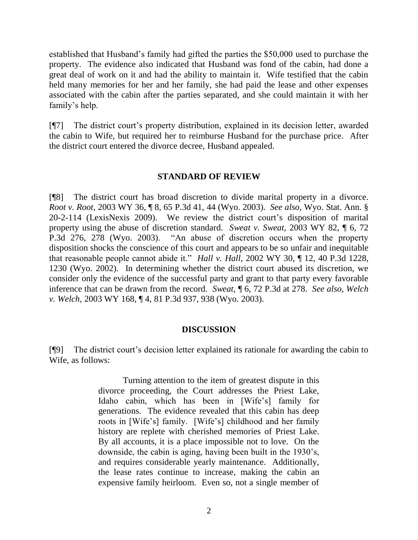established that Husband's family had gifted the parties the \$50,000 used to purchase the property. The evidence also indicated that Husband was fond of the cabin, had done a great deal of work on it and had the ability to maintain it. Wife testified that the cabin held many memories for her and her family, she had paid the lease and other expenses associated with the cabin after the parties separated, and she could maintain it with her family's help.

[¶7] The district court's property distribution, explained in its decision letter, awarded the cabin to Wife, but required her to reimburse Husband for the purchase price. After the district court entered the divorce decree, Husband appealed.

### **STANDARD OF REVIEW**

[¶8] The district court has broad discretion to divide marital property in a divorce. *[Root v. Root,](http://www.westlaw.com/Find/Default.wl?rs=dfa1.0&vr=2.0&DB=4645&FindType=Y&SerialNum=2003218607)* [2003 WY 36, ¶ 8, 65 P.3d 41, 44](http://www.westlaw.com/Find/Default.wl?rs=dfa1.0&vr=2.0&DB=4645&FindType=Y&SerialNum=2003218607) (Wyo. 2003). *See also*, [Wyo. Stat. Ann. §](http://www.westlaw.com/Find/Default.wl?rs=dfa1.0&vr=2.0&DB=1000377&DocName=WYSTS20-2-114&FindType=L)  [20-2-114](http://www.westlaw.com/Find/Default.wl?rs=dfa1.0&vr=2.0&DB=1000377&DocName=WYSTS20-2-114&FindType=L) (LexisNexis 2009). We review the district court's disposition of marital property using the abuse of discretion standard. *[Sweat v. Sweat,](http://www.westlaw.com/Find/Default.wl?rs=dfa1.0&vr=2.0&DB=4645&FindType=Y&SerialNum=2003469718)* [2003 WY 82, ¶ 6, 72](http://www.westlaw.com/Find/Default.wl?rs=dfa1.0&vr=2.0&DB=4645&FindType=Y&SerialNum=2003469718)  P.3d 276, 278 (Wyo. 2003). "An abuse of discretion occurs when the property disposition shocks the conscience of this court and appears to be so unfair and inequitable that reasonable people cannot abide it." *Hall v. Hall,* 2002 WY 30, ¶ 12, 40 P.3d 1228, 1230 (Wyo. 2002). In determining whether the district court abused its discretion, we consider only the evidence of the successful party and grant to that party every favorable inference that can be drawn from the record. *Sweat,* ¶ 6, 72 P.3d at 278. *See also*, *Welch v. Welch,* 2003 WY 168, ¶ 4, 81 P.3d 937, 938 (Wyo. 2003).

### **DISCUSSION**

[¶9] The district court's decision letter explained its rationale for awarding the cabin to Wife, as follows:

> Turning attention to the item of greatest dispute in this divorce proceeding, the Court addresses the Priest Lake, Idaho cabin, which has been in [Wife's] family for generations. The evidence revealed that this cabin has deep roots in [Wife's] family. [Wife's] childhood and her family history are replete with cherished memories of Priest Lake. By all accounts, it is a place impossible not to love. On the downside, the cabin is aging, having been built in the 1930's, and requires considerable yearly maintenance. Additionally, the lease rates continue to increase, making the cabin an expensive family heirloom. Even so, not a single member of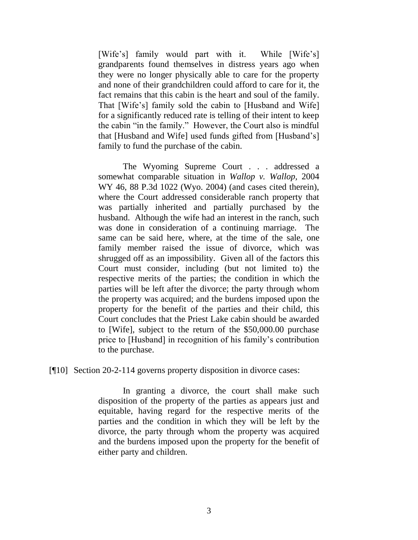[Wife's] family would part with it. While [Wife's] grandparents found themselves in distress years ago when they were no longer physically able to care for the property and none of their grandchildren could afford to care for it, the fact remains that this cabin is the heart and soul of the family. That [Wife's] family sold the cabin to [Husband and Wife] for a significantly reduced rate is telling of their intent to keep the cabin "in the family." However, the Court also is mindful that [Husband and Wife] used funds gifted from [Husband's] family to fund the purchase of the cabin.

The Wyoming Supreme Court . . . addressed a somewhat comparable situation in *Wallop v. Wallop,* 2004 WY 46, 88 P.3d 1022 (Wyo. 2004) (and cases cited therein), where the Court addressed considerable ranch property that was partially inherited and partially purchased by the husband. Although the wife had an interest in the ranch, such was done in consideration of a continuing marriage. The same can be said here, where, at the time of the sale, one family member raised the issue of divorce, which was shrugged off as an impossibility. Given all of the factors this Court must consider, including (but not limited to) the respective merits of the parties; the condition in which the parties will be left after the divorce; the party through whom the property was acquired; and the burdens imposed upon the property for the benefit of the parties and their child, this Court concludes that the Priest Lake cabin should be awarded to [Wife], subject to the return of the \$50,000.00 purchase price to [Husband] in recognition of his family's contribution to the purchase.

[¶10] Section 20-2-114 governs property disposition in divorce cases:

In granting a divorce, the court shall make such disposition of the property of the parties as appears just and equitable, having regard for the respective merits of the parties and the condition in which they will be left by the divorce, the party through whom the property was acquired and the burdens imposed upon the property for the benefit of either party and children.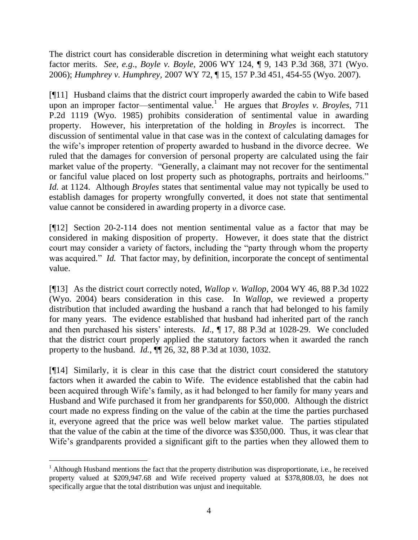The district court has considerable discretion in determining what weight each statutory factor merits. *See, e.g*., *Boyle v. Boyle,* 2006 WY 124, ¶ 9, 143 P.3d 368, 371 (Wyo. 2006); *Humphrey v. Humphrey,* 2007 WY 72, ¶ 15, 157 P.3d 451, 454-55 (Wyo. 2007).

[¶11] Husband claims that the district court improperly awarded the cabin to Wife based upon an improper factor—sentimental value.<sup>1</sup> He argues that *Broyles v. Broyles*, 711 P.2d 1119 (Wyo. 1985) prohibits consideration of sentimental value in awarding property. However, his interpretation of the holding in *Broyles* is incorrect. The discussion of sentimental value in that case was in the context of calculating damages for the wife's improper retention of property awarded to husband in the divorce decree. We ruled that the damages for conversion of personal property are calculated using the fair market value of the property. "Generally, a claimant may not recover for the sentimental or fanciful value placed on lost property such as photographs, portraits and heirlooms." *Id.* at 1124. Although *Broyles* states that sentimental value may not typically be used to establish damages for property wrongfully converted, it does not state that sentimental value cannot be considered in awarding property in a divorce case.

[¶12] Section 20-2-114 does not mention sentimental value as a factor that may be considered in making disposition of property. However, it does state that the district court may consider a variety of factors, including the "party through whom the property was acquired." *Id.* That factor may, by definition, incorporate the concept of sentimental value.

[¶13] As the district court correctly noted, *Wallop v. Wallop,* 2004 WY 46, 88 P.3d 1022 (Wyo. 2004) bears consideration in this case. In *Wallop*, we reviewed a property distribution that included awarding the husband a ranch that had belonged to his family for many years. The evidence established that husband had inherited part of the ranch and then purchased his sisters' interests. *Id*., ¶ 17, 88 P.3d at 1028-29. We concluded that the district court properly applied the statutory factors when it awarded the ranch property to the husband. *Id.,* ¶¶ 26, 32, 88 P.3d at 1030, 1032.

[¶14] Similarly*,* it is clear in this case that the district court considered the statutory factors when it awarded the cabin to Wife. The evidence established that the cabin had been acquired through Wife's family, as it had belonged to her family for many years and Husband and Wife purchased it from her grandparents for \$50,000. Although the district court made no express finding on the value of the cabin at the time the parties purchased it, everyone agreed that the price was well below market value. The parties stipulated that the value of the cabin at the time of the divorce was \$350,000. Thus, it was clear that Wife's grandparents provided a significant gift to the parties when they allowed them to

 $\overline{a}$ 

<sup>&</sup>lt;sup>1</sup> Although Husband mentions the fact that the property distribution was disproportionate, i.e., he received property valued at \$209,947.68 and Wife received property valued at \$378,808.03, he does not specifically argue that the total distribution was unjust and inequitable.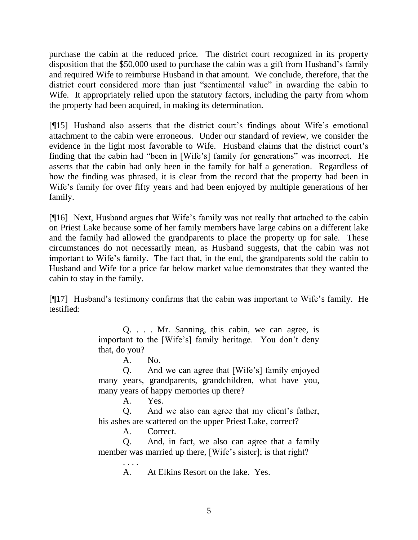purchase the cabin at the reduced price. The district court recognized in its property disposition that the \$50,000 used to purchase the cabin was a gift from Husband's family and required Wife to reimburse Husband in that amount. We conclude, therefore, that the district court considered more than just "sentimental value" in awarding the cabin to Wife. It appropriately relied upon the statutory factors, including the party from whom the property had been acquired, in making its determination.

[¶15] Husband also asserts that the district court's findings about Wife's emotional attachment to the cabin were erroneous. Under our standard of review, we consider the evidence in the light most favorable to Wife. Husband claims that the district court's finding that the cabin had "been in [Wife's] family for generations" was incorrect. He asserts that the cabin had only been in the family for half a generation. Regardless of how the finding was phrased, it is clear from the record that the property had been in Wife's family for over fifty years and had been enjoyed by multiple generations of her family.

[¶16] Next, Husband argues that Wife's family was not really that attached to the cabin on Priest Lake because some of her family members have large cabins on a different lake and the family had allowed the grandparents to place the property up for sale. These circumstances do not necessarily mean, as Husband suggests, that the cabin was not important to Wife's family. The fact that, in the end, the grandparents sold the cabin to Husband and Wife for a price far below market value demonstrates that they wanted the cabin to stay in the family.

[¶17] Husband's testimony confirms that the cabin was important to Wife's family. He testified:

> Q. . . . Mr. Sanning, this cabin, we can agree, is important to the [Wife's] family heritage. You don't deny that, do you?

A. No.

Q. And we can agree that [Wife's] family enjoyed many years, grandparents, grandchildren, what have you, many years of happy memories up there?

A. Yes.

Q. And we also can agree that my client's father, his ashes are scattered on the upper Priest Lake, correct?

A. Correct.

. . . .

Q. And, in fact, we also can agree that a family member was married up there, [Wife's sister]; is that right?

A. At Elkins Resort on the lake. Yes.